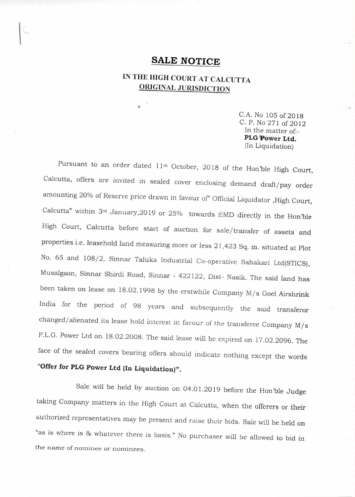## **SALE NOTICE**

## **IN THE HIGH COURT AT CALCUTTA ORIGINAL JURISDICTION**

C.A. No 105 of 2018 C. P. No 271 of 2012 In the matter of:- **PLO;Power Ltd.**  (In Liquidation)

Pursuant to an order dated 11<sup>th</sup> October, 2018 of the Hon'ble High Court, Calcutta, offers are invited in sealed cover enclosing demand draft/pay order amounting 20% of Reserve price drawn in favour of" Official Liquidator ,High Court, Calcutta" within 3rd January,2019 or 25% towards EMD directly in the Hon'ble High Court, Calcutta before start of auction for sale/transfer of assets and properties i.e. leasehold land measuring more or less 21,423 Sq. m. situated at Plot No. 65 and 108/2, Sinnar Taluka Industrial Co-operative Sahakari Ltd(STICS), Musalgaon, Sinnar Shirdi Road, Sinnar - 422122, Dist- Nasik. The said land has been taken on lease on 18.02.1998 by the erstwhile Company M/s Goel Airshrink India for the period of 98 years and subsequently the said transferor changed/alienated its lease hold interest in favour of the transferee Company M/s P.L.G. Power Ltd on 18.02.2008. The said lease will be expired on 17.02.2096. **The**  face of the sealed covers bearing offers should indicate nothing except the words **"Offer for PLG Power Ltd (In Liquidation)".** 

Sale will be held by auction on 04.01.2019 before the Hon'ble Judge taking Company matters in the High Court at Calcutta, when the offerers or their authorized representatives may be present and raise their bids. Sale will be held on "as is where is 86 whatever there is basis." No purchaser will be allowed to bid in the name of nominee or nominees.